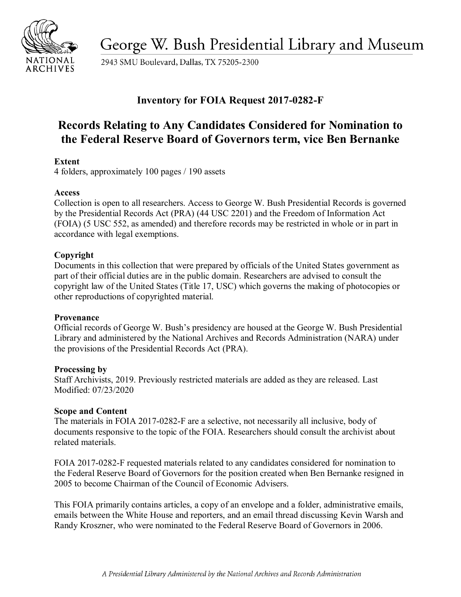

George W. Bush Presidential Library and Museum

2943 SMU Boulevard, Dallas, TX 75205-2300

# **Inventory for FOIA Request 2017-0282-F**

# **Records Relating to Any Candidates Considered for Nomination to the Federal Reserve Board of Governors term, vice Ben Bernanke**

# **Extent**

4 folders, approximately 100 pages / 190 assets

# **Access**

 Collection is open to all researchers. Access to George W. Bush Presidential Records is governed by the Presidential Records Act (PRA) (44 USC 2201) and the Freedom of Information Act (FOIA) (5 USC 552, as amended) and therefore records may be restricted in whole or in part in accordance with legal exemptions.

# **Copyright**

 part of their official duties are in the public domain. Researchers are advised to consult the Documents in this collection that were prepared by officials of the United States government as copyright law of the United States (Title 17, USC) which governs the making of photocopies or other reproductions of copyrighted material.

## **Provenance**

Official records of George W. Bush's presidency are housed at the George W. Bush Presidential Library and administered by the National Archives and Records Administration (NARA) under the provisions of the Presidential Records Act (PRA).

## **Processing by**

Staff Archivists, 2019. Previously restricted materials are added as they are released. Last Modified: 07/23/2020

## **Scope and Content**

The materials in FOIA 2017-0282-F are a selective, not necessarily all inclusive, body of documents responsive to the topic of the FOIA. Researchers should consult the archivist about related materials.

 the Federal Reserve Board of Governors for the position created when Ben Bernanke resigned in FOIA 2017-0282-F requested materials related to any candidates considered for nomination to 2005 to become Chairman of the Council of Economic Advisers.

 emails between the White House and reporters, and an email thread discussing Kevin Warsh and This FOIA primarily contains articles, a copy of an envelope and a folder, administrative emails, Randy Kroszner, who were nominated to the Federal Reserve Board of Governors in 2006.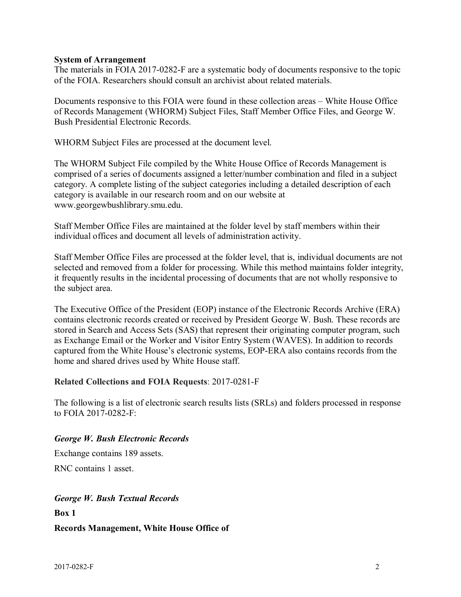#### **System of Arrangement**

 of the FOIA. Researchers should consult an archivist about related materials. The materials in FOIA 2017-0282-F are a systematic body of documents responsive to the topic

 Documents responsive to this FOIA were found in these collection areas – White House Office of Records Management (WHORM) Subject Files, Staff Member Office Files, and George W. Bush Presidential Electronic Records.

WHORM Subject Files are processed at the document level.

 comprised of a series of documents assigned a letter/number combination and filed in a subject The WHORM Subject File compiled by the White House Office of Records Management is category. A complete listing of the subject categories including a detailed description of each category is available in our research room and on our website at <www.georgewbushlibrary.smu.edu>.

 Staff Member Office Files are maintained at the folder level by staff members within their individual offices and document all levels of administration activity.

 selected and removed from a folder for processing. While this method maintains folder integrity, it frequently results in the incidental processing of documents that are not wholly responsive to Staff Member Office Files are processed at the folder level, that is, individual documents are not the subject area.

 contains electronic records created or received by President George W. Bush. These records are The Executive Office of the President (EOP) instance of the Electronic Records Archive (ERA) stored in Search and Access Sets (SAS) that represent their originating computer program, such as Exchange Email or the Worker and Visitor Entry System (WAVES). In addition to records captured from the White House's electronic systems, EOP-ERA also contains records from the home and shared drives used by White House staff.

#### **Related Collections and FOIA Requests**: 2017-0281-F

The following is a list of electronic search results lists (SRLs) and folders processed in response to FOIA 2017-0282-F:

#### *George W. Bush Electronic Records*

Exchange contains 189 assets.

RNC contains 1 asset.

#### *George W. Bush Textual Records*

**Box 1** 

**Records Management, White House Office of**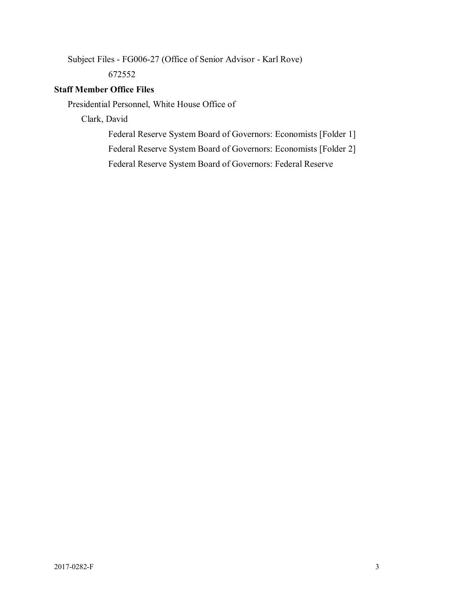Subject Files - FG006-27 (Office of Senior Advisor - Karl Rove)

672552

# **Staff Member Office Files**

Presidential Personnel, White House Office of

Clark, David

Federal Reserve System Board of Governors: Economists [Folder 1]

Federal Reserve System Board of Governors: Economists [Folder 2]

Federal Reserve System Board of Governors: Federal Reserve